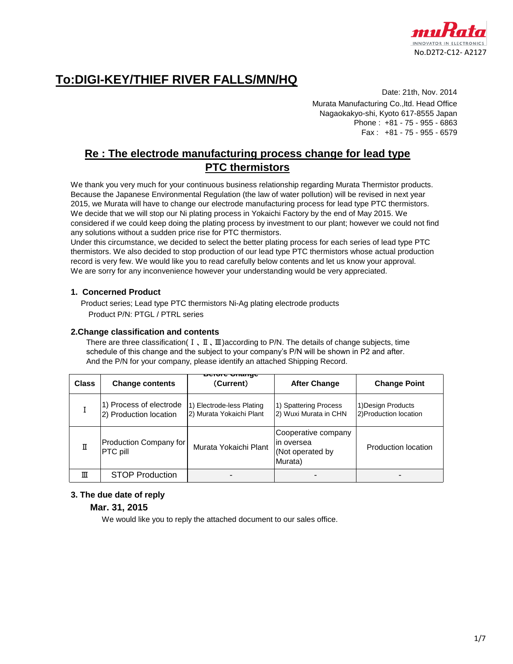

### **To:DIGI-KEY/THIEF RIVER FALLS/MN/HQ**

Date: 21th, Nov. 2014 Murata Manufacturing Co.,ltd. Head Office Nagaokakyo-shi, Kyoto 617-8555 Japan Phone : +81 - 75 - 955 - 6863 Fax : +81 - 75 - 955 - 6579

#### **Re : The electrode manufacturing process change for lead type PTC thermistors**

We thank you very much for your continuous business relationship regarding Murata Thermistor products. Because the Japanese Environmental Regulation (the law of water pollution) will be revised in next year 2015, we Murata will have to change our electrode manufacturing process for lead type PTC thermistors. We decide that we will stop our Ni plating process in Yokaichi Factory by the end of May 2015. We considered if we could keep doing the plating process by investment to our plant; however we could not find any solutions without a sudden price rise for PTC thermistors.

Under this circumstance, we decided to select the better plating process for each series of lead type PTC thermistors. We also decided to stop production of our lead type PTC thermistors whose actual production record is very few. We would like you to read carefully below contents and let us know your approval. We are sorry for any inconvenience however your understanding would be very appreciated.

#### **1. Concerned Product**

 Product series; Lead type PTC thermistors Ni-Ag plating electrode products Product P/N: PTGL / PTRL series

#### **2.Change classification and contents**

There are three classification(  $I \nvert I \nvert II$ ) according to P/N. The details of change subjects, time schedule of this change and the subject to your company's P/N will be shown in P2 and after. And the P/N for your company, please identify an attached Shipping Record.

| <b>Class</b> | <b>Change contents</b>                            | <b>Dervie Onange</b><br>(Current)                     | <b>After Change</b>                                               | <b>Change Point</b>                          |
|--------------|---------------------------------------------------|-------------------------------------------------------|-------------------------------------------------------------------|----------------------------------------------|
|              | 1) Process of electrode<br>2) Production location | 1) Electrode-less Plating<br>2) Murata Yokaichi Plant | 1) Spattering Process<br>2) Wuxi Murata in CHN                    | 1) Design Products<br>2) Production location |
| Π            | Production Company for<br>PTC pill                | Murata Yokaichi Plant                                 | Cooperative company<br>lin oversea<br>(Not operated by<br>Murata) | Production location                          |
| Ш            | <b>STOP Production</b>                            |                                                       |                                                                   |                                              |

#### **3. The due date of reply**

#### **Mar. 31, 2015**

We would like you to reply the attached document to our sales office.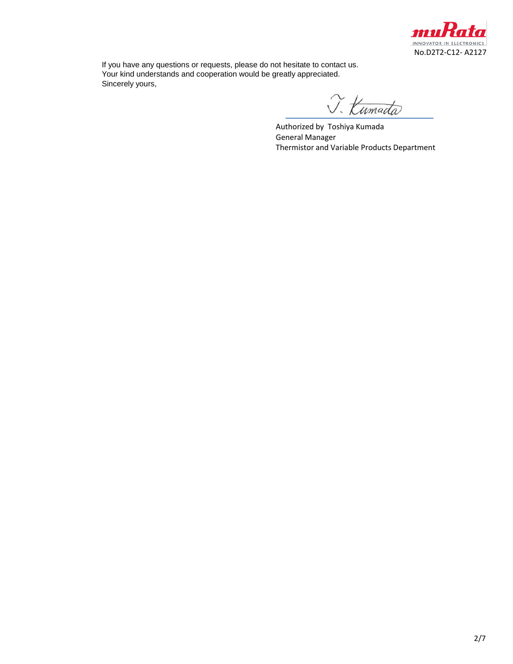

If you have any questions or requests, please do not hesitate to contact us. Your kind understands and cooperation would be greatly appreciated. Sincerely yours,

J. Kumada

Authorized by Toshiya Kumada General Manager Thermistor and Variable Products Department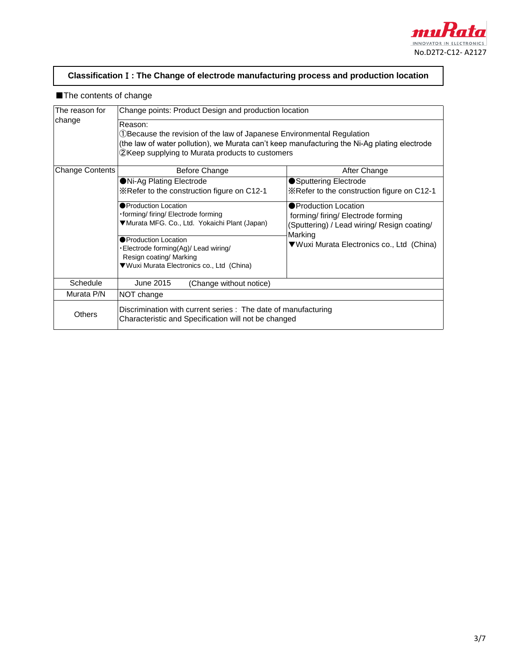

#### **Classification**Ⅰ**: The Change of electrode manufacturing process and production location**

#### ■The contents of change

| The reason for                                                                                                                   | Change points: Product Design and production location                                                                                                                                                                                  |                                                                                                          |  |  |  |  |
|----------------------------------------------------------------------------------------------------------------------------------|----------------------------------------------------------------------------------------------------------------------------------------------------------------------------------------------------------------------------------------|----------------------------------------------------------------------------------------------------------|--|--|--|--|
| change                                                                                                                           | Reason:<br>1) Because the revision of the law of Japanese Environmental Regulation<br>(the law of water pollution), we Murata can't keep manufacturing the Ni-Ag plating electrode<br>2 Keep supplying to Murata products to customers |                                                                                                          |  |  |  |  |
| <b>Change Contents</b>                                                                                                           | Before Change                                                                                                                                                                                                                          | After Change                                                                                             |  |  |  |  |
|                                                                                                                                  | ●Ni-Ag Plating Electrode                                                                                                                                                                                                               | ● Sputtering Electrode                                                                                   |  |  |  |  |
|                                                                                                                                  | *Refer to the construction figure on C12-1                                                                                                                                                                                             | *Refer to the construction figure on C12-1                                                               |  |  |  |  |
|                                                                                                                                  | <b>Production Location</b><br>forming/firing/Electrode forming<br>▼Murata MFG. Co., Ltd. Yokaichi Plant (Japan)                                                                                                                        | ● Production Location<br>forming/firing/Electrode forming<br>(Sputtering) / Lead wiring/ Resign coating/ |  |  |  |  |
|                                                                                                                                  | ● Production Location<br>- Electrode forming(Ag)/ Lead wiring/<br>Resign coating/ Marking<br>▼Wuxi Murata Electronics co., Ltd (China)                                                                                                 | Marking<br>▼Wuxi Murata Electronics co., Ltd (China)                                                     |  |  |  |  |
| Schedule                                                                                                                         | June 2015<br>(Change without notice)                                                                                                                                                                                                   |                                                                                                          |  |  |  |  |
| Murata P/N                                                                                                                       | NOT change                                                                                                                                                                                                                             |                                                                                                          |  |  |  |  |
| Discrimination with current series : The date of manufacturing<br>Others<br>Characteristic and Specification will not be changed |                                                                                                                                                                                                                                        |                                                                                                          |  |  |  |  |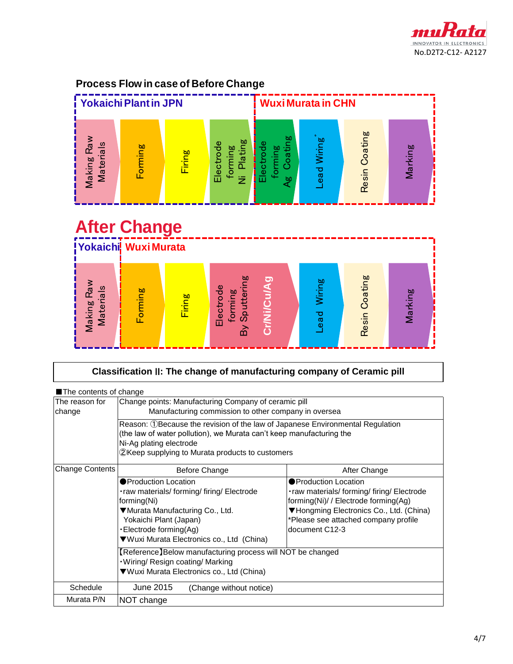

#### **Process Flow in case of Before Change**



# Making Raw<br>
Materials<br>
Forming<br>
Firing<br>
Electrode<br>
By Sputtering<br>
Cr/Ni/Cu/Ag<br>
Lead Wiring Resin Coating Marking **Yokaichi Wuxi Murata After Change**

| Classification II: The change of manufacturing company of Ceramic pill |                                                                                                                                                                                                                                     |                                                                                                                                                                                                                   |  |  |  |
|------------------------------------------------------------------------|-------------------------------------------------------------------------------------------------------------------------------------------------------------------------------------------------------------------------------------|-------------------------------------------------------------------------------------------------------------------------------------------------------------------------------------------------------------------|--|--|--|
| The contents of change                                                 |                                                                                                                                                                                                                                     |                                                                                                                                                                                                                   |  |  |  |
| The reason for<br>change                                               | Change points: Manufacturing Company of ceramic pill<br>Manufacturing commission to other company in oversea                                                                                                                        |                                                                                                                                                                                                                   |  |  |  |
|                                                                        | Reason: ①Because the revision of the law of Japanese Environmental Regulation<br>(the law of water pollution), we Murata can't keep manufacturing the<br>Ni-Ag plating electrode<br>2Keep supplying to Murata products to customers |                                                                                                                                                                                                                   |  |  |  |
| <b>Change Contents</b>                                                 | Before Change                                                                                                                                                                                                                       | After Change                                                                                                                                                                                                      |  |  |  |
|                                                                        | <b>• Production Location</b><br>. raw materials/forming/firing/Electrode<br>forming(Ni)<br>▼Murata Manufacturing Co., Ltd.<br>Yokaichi Plant (Japan)<br>·Electrode forming(Ag)<br>▼Wuxi Murata Electronics co., Ltd (China)         | ● Production Location<br>. raw materials/ forming/ firing/ Electrode<br>forming(Ni)/ / Electrode forming(Ag)<br>▼Hongming Electronics Co., Ltd. (China)<br>*Please see attached company profile<br>document C12-3 |  |  |  |
|                                                                        | [Reference] Below manufacturing process will NOT be changed<br>. Wiring/ Resign coating/ Marking<br>▼Wuxi Murata Electronics co., Ltd (China)                                                                                       |                                                                                                                                                                                                                   |  |  |  |
| Schedule                                                               | June 2015<br>(Change without notice)                                                                                                                                                                                                |                                                                                                                                                                                                                   |  |  |  |
| Murata P/N                                                             | NOT change                                                                                                                                                                                                                          |                                                                                                                                                                                                                   |  |  |  |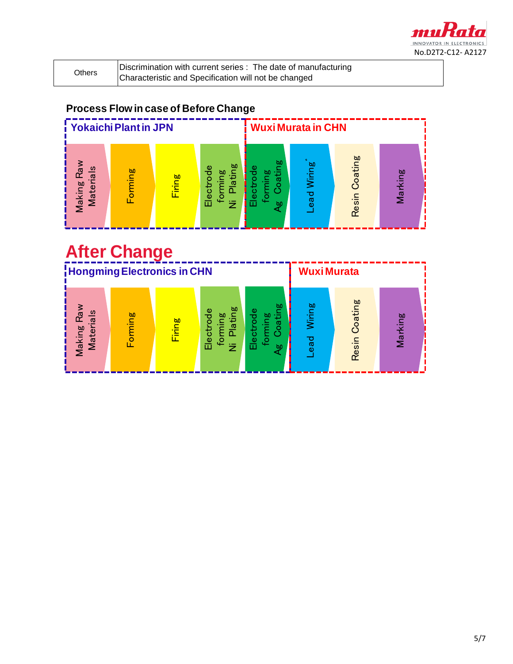

Discrimination with current series : The date of manufacturing Characteristic and Specification will not be changed

#### **Process Flow in case of Before Change**



# **After Change**

|                                           | <b>Hongming Electronics in CHN</b> |              |                                                              |                                          | <b>WuxiMurata</b>                       |                  |                                       |
|-------------------------------------------|------------------------------------|--------------|--------------------------------------------------------------|------------------------------------------|-----------------------------------------|------------------|---------------------------------------|
| $rac{1}{a}$<br><b>b</b><br>Making<br>Mate | ming                               | ρg<br>ä<br>症 | <b>b</b><br>Φ<br>ŏ<br>Ø0<br>œ<br>Electr<br>$\mathbf{Q}$<br>乞 | 60<br>Φ<br>ರ<br>$\mathbf{G}$<br>Êе<br>۵n | ஜ்<br>j.<br>Š<br>ъ<br>Φ<br>$\mathbf{d}$ | Coating<br>Resir | ğρ<br>室<br>$\overline{\mathbf{M}}$ ar |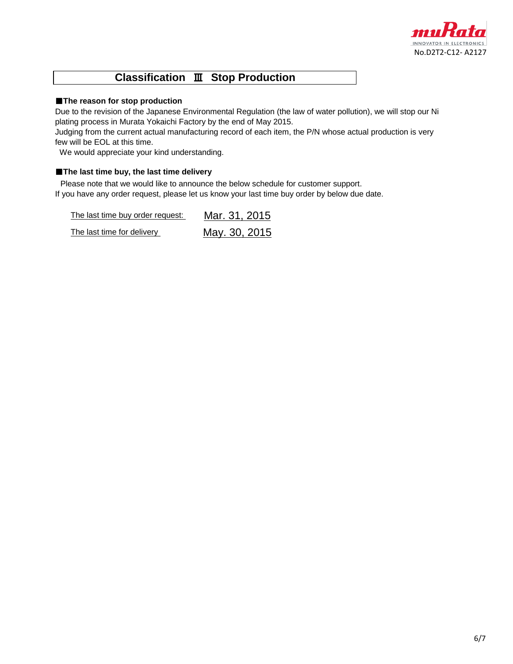

#### **Classification** Ⅲ **Stop Production**

#### ■**The reason for stop production**

Due to the revision of the Japanese Environmental Regulation (the law of water pollution), we will stop our Ni plating process in Murata Yokaichi Factory by the end of May 2015.

Judging from the current actual manufacturing record of each item, the P/N whose actual production is very few will be EOL at this time.

We would appreciate your kind understanding.

#### ■**The last time buy, the last time delivery**

Please note that we would like to announce the below schedule for customer support. If you have any order request, please let us know your last time buy order by below due date.

The last time buy order request: Mar. 31, 2015 The last time for delivery May. 30, 2015